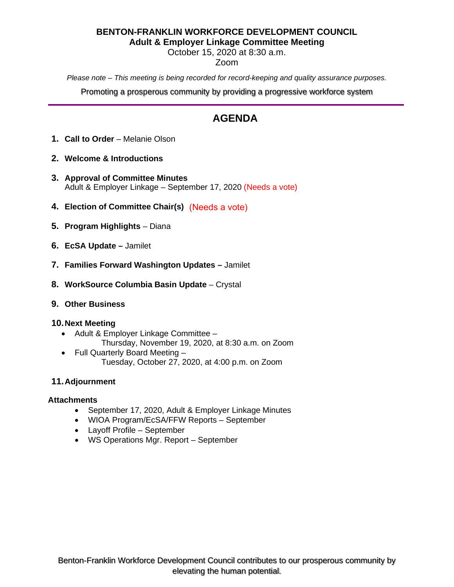# **BENTON-FRANKLIN WORKFORCE DEVELOPMENT COUNCIL Adult & Employer Linkage Committee Meeting**

October 15, 2020 at 8:30 a.m.

# Zoom

*Please note – This meeting is being recorded for record-keeping and quality assurance purposes.*

Promoting a prosperous community by providing a progressive workforce system

# **AGENDA**

- **1. Call to Order** Melanie Olson
- **2. Welcome & Introductions**
- **3. Approval of Committee Minutes** Adult & Employer Linkage – September 17, 2020 (Needs a vote)
- **4. Election of Committee Chair(s)** (Needs a vote)
- **5. Program Highlights** Diana
- **6. EcSA Update** Jamilet
- **7. Families Forward Washington Updates** Jamilet
- **8. WorkSource Columbia Basin Update** Crystal

# **9. Other Business**

# **10.Next Meeting**

- Adult & Employer Linkage Committee
	- Thursday, November 19, 2020, at 8:30 a.m. on Zoom
- Full Quarterly Board Meeting Tuesday, October 27, 2020, at 4:00 p.m. on Zoom

# **11.Adjournment**

# **Attachments**

- September 17, 2020, Adult & Employer Linkage Minutes
- WIOA Program/EcSA/FFW Reports September
- Layoff Profile September
- WS Operations Mgr. Report September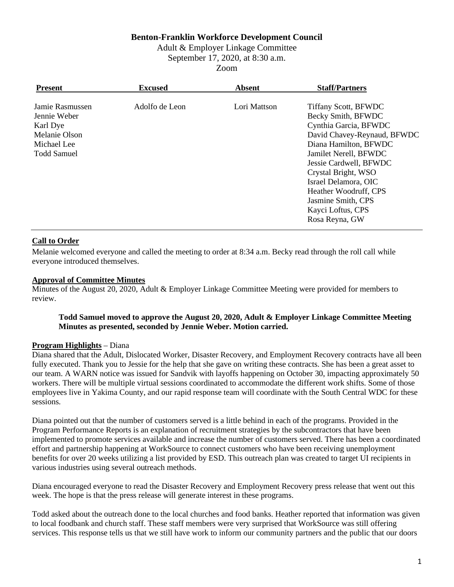# **Benton-Franklin Workforce Development Council**

Adult & Employer Linkage Committee September 17, 2020, at 8:30 a.m. Zoom

| <b>Present</b>                                                                                    | <b>Excused</b> | <b>Absent</b> | <b>Staff/Partners</b>                                                                                                                                                                                                                                                                                                      |
|---------------------------------------------------------------------------------------------------|----------------|---------------|----------------------------------------------------------------------------------------------------------------------------------------------------------------------------------------------------------------------------------------------------------------------------------------------------------------------------|
| Jamie Rasmussen<br>Jennie Weber<br>Karl Dye<br>Melanie Olson<br>Michael Lee<br><b>Todd Samuel</b> | Adolfo de Leon | Lori Mattson  | <b>Tiffany Scott, BFWDC</b><br>Becky Smith, BFWDC<br>Cynthia Garcia, BFWDC<br>David Chavey-Reynaud, BFWDC<br>Diana Hamilton, BFWDC<br>Jamilet Nerell, BFWDC<br>Jessie Cardwell, BFWDC<br>Crystal Bright, WSO<br>Israel Delamora, OIC<br>Heather Woodruff, CPS<br>Jasmine Smith, CPS<br>Kayci Loftus, CPS<br>Rosa Reyna, GW |

### **Call to Order**

Melanie welcomed everyone and called the meeting to order at 8:34 a.m. Becky read through the roll call while everyone introduced themselves.

#### **Approval of Committee Minutes**

Minutes of the August 20, 2020, Adult & Employer Linkage Committee Meeting were provided for members to review.

### **Todd Samuel moved to approve the August 20, 2020, Adult & Employer Linkage Committee Meeting Minutes as presented, seconded by Jennie Weber. Motion carried.**

#### **Program Highlights** – Diana

Diana shared that the Adult, Dislocated Worker, Disaster Recovery, and Employment Recovery contracts have all been fully executed. Thank you to Jessie for the help that she gave on writing these contracts. She has been a great asset to our team. A WARN notice was issued for Sandvik with layoffs happening on October 30, impacting approximately 50 workers. There will be multiple virtual sessions coordinated to accommodate the different work shifts. Some of those employees live in Yakima County, and our rapid response team will coordinate with the South Central WDC for these sessions.

Diana pointed out that the number of customers served is a little behind in each of the programs. Provided in the Program Performance Reports is an explanation of recruitment strategies by the subcontractors that have been implemented to promote services available and increase the number of customers served. There has been a coordinated effort and partnership happening at WorkSource to connect customers who have been receiving unemployment benefits for over 20 weeks utilizing a list provided by ESD. This outreach plan was created to target UI recipients in various industries using several outreach methods.

Diana encouraged everyone to read the Disaster Recovery and Employment Recovery press release that went out this week. The hope is that the press release will generate interest in these programs.

Todd asked about the outreach done to the local churches and food banks. Heather reported that information was given to local foodbank and church staff. These staff members were very surprised that WorkSource was still offering services. This response tells us that we still have work to inform our community partners and the public that our doors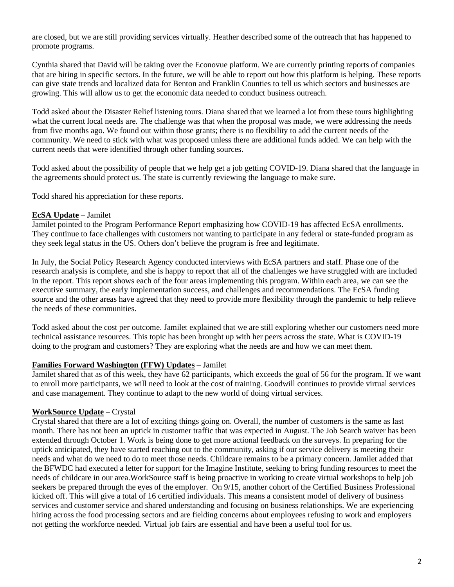are closed, but we are still providing services virtually. Heather described some of the outreach that has happened to promote programs.

Cynthia shared that David will be taking over the Econovue platform. We are currently printing reports of companies that are hiring in specific sectors. In the future, we will be able to report out how this platform is helping. These reports can give state trends and localized data for Benton and Franklin Counties to tell us which sectors and businesses are growing. This will allow us to get the economic data needed to conduct business outreach.

Todd asked about the Disaster Relief listening tours. Diana shared that we learned a lot from these tours highlighting what the current local needs are. The challenge was that when the proposal was made, we were addressing the needs from five months ago. We found out within those grants; there is no flexibility to add the current needs of the community. We need to stick with what was proposed unless there are additional funds added. We can help with the current needs that were identified through other funding sources.

Todd asked about the possibility of people that we help get a job getting COVID-19. Diana shared that the language in the agreements should protect us. The state is currently reviewing the language to make sure.

Todd shared his appreciation for these reports.

## **EcSA Update** – Jamilet

Jamilet pointed to the Program Performance Report emphasizing how COVID-19 has affected EcSA enrollments. They continue to face challenges with customers not wanting to participate in any federal or state-funded program as they seek legal status in the US. Others don't believe the program is free and legitimate.

In July, the Social Policy Research Agency conducted interviews with EcSA partners and staff. Phase one of the research analysis is complete, and she is happy to report that all of the challenges we have struggled with are included in the report. This report shows each of the four areas implementing this program. Within each area, we can see the executive summary, the early implementation success, and challenges and recommendations. The EcSA funding source and the other areas have agreed that they need to provide more flexibility through the pandemic to help relieve the needs of these communities.

Todd asked about the cost per outcome. Jamilet explained that we are still exploring whether our customers need more technical assistance resources. This topic has been brought up with her peers across the state. What is COVID-19 doing to the program and customers? They are exploring what the needs are and how we can meet them.

# **Families Forward Washington (FFW) Updates** – Jamilet

Jamilet shared that as of this week, they have 62 participants, which exceeds the goal of 56 for the program. If we want to enroll more participants, we will need to look at the cost of training. Goodwill continues to provide virtual services and case management. They continue to adapt to the new world of doing virtual services.

# **WorkSource Update** – Crystal

Crystal shared that there are a lot of exciting things going on. Overall, the number of customers is the same as last month. There has not been an uptick in customer traffic that was expected in August. The Job Search waiver has been extended through October 1. Work is being done to get more actional feedback on the surveys. In preparing for the uptick anticipated, they have started reaching out to the community, asking if our service delivery is meeting their needs and what do we need to do to meet those needs. Childcare remains to be a primary concern. Jamilet added that the BFWDC had executed a letter for support for the Imagine Institute, seeking to bring funding resources to meet the needs of childcare in our area.WorkSource staff is being proactive in working to create virtual workshops to help job seekers be prepared through the eyes of the employer. On 9/15, another cohort of the Certified Business Professional kicked off. This will give a total of 16 certified individuals. This means a consistent model of delivery of business services and customer service and shared understanding and focusing on business relationships. We are experiencing hiring across the food processing sectors and are fielding concerns about employees refusing to work and employers not getting the workforce needed. Virtual job fairs are essential and have been a useful tool for us.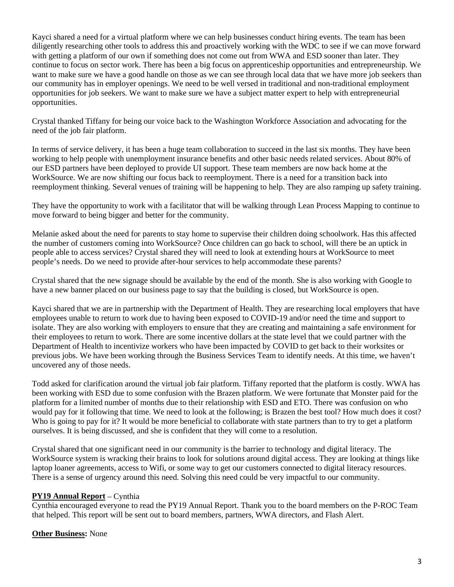Kayci shared a need for a virtual platform where we can help businesses conduct hiring events. The team has been diligently researching other tools to address this and proactively working with the WDC to see if we can move forward with getting a platform of our own if something does not come out from WWA and ESD sooner than later. They continue to focus on sector work. There has been a big focus on apprenticeship opportunities and entrepreneurship. We want to make sure we have a good handle on those as we can see through local data that we have more job seekers than our community has in employer openings. We need to be well versed in traditional and non-traditional employment opportunities for job seekers. We want to make sure we have a subject matter expert to help with entrepreneurial opportunities.

Crystal thanked Tiffany for being our voice back to the Washington Workforce Association and advocating for the need of the job fair platform.

In terms of service delivery, it has been a huge team collaboration to succeed in the last six months. They have been working to help people with unemployment insurance benefits and other basic needs related services. About 80% of our ESD partners have been deployed to provide UI support. These team members are now back home at the WorkSource. We are now shifting our focus back to reemployment. There is a need for a transition back into reemployment thinking. Several venues of training will be happening to help. They are also ramping up safety training.

They have the opportunity to work with a facilitator that will be walking through Lean Process Mapping to continue to move forward to being bigger and better for the community.

Melanie asked about the need for parents to stay home to supervise their children doing schoolwork. Has this affected the number of customers coming into WorkSource? Once children can go back to school, will there be an uptick in people able to access services? Crystal shared they will need to look at extending hours at WorkSource to meet people's needs. Do we need to provide after-hour services to help accommodate these parents?

Crystal shared that the new signage should be available by the end of the month. She is also working with Google to have a new banner placed on our business page to say that the building is closed, but WorkSource is open.

Kayci shared that we are in partnership with the Department of Health. They are researching local employers that have employees unable to return to work due to having been exposed to COVID-19 and/or need the time and support to isolate. They are also working with employers to ensure that they are creating and maintaining a safe environment for their employees to return to work. There are some incentive dollars at the state level that we could partner with the Department of Health to incentivize workers who have been impacted by COVID to get back to their worksites or previous jobs. We have been working through the Business Services Team to identify needs. At this time, we haven't uncovered any of those needs.

Todd asked for clarification around the virtual job fair platform. Tiffany reported that the platform is costly. WWA has been working with ESD due to some confusion with the Brazen platform. We were fortunate that Monster paid for the platform for a limited number of months due to their relationship with ESD and ETO. There was confusion on who would pay for it following that time. We need to look at the following; is Brazen the best tool? How much does it cost? Who is going to pay for it? It would be more beneficial to collaborate with state partners than to try to get a platform ourselves. It is being discussed, and she is confident that they will come to a resolution.

Crystal shared that one significant need in our community is the barrier to technology and digital literacy. The WorkSource system is wracking their brains to look for solutions around digital access. They are looking at things like laptop loaner agreements, access to Wifi, or some way to get our customers connected to digital literacy resources. There is a sense of urgency around this need. Solving this need could be very impactful to our community.

### **PY19 Annual Report** – Cynthia

Cynthia encouraged everyone to read the PY19 Annual Report. Thank you to the board members on the P-ROC Team that helped. This report will be sent out to board members, partners, WWA directors, and Flash Alert.

# **Other Business:** None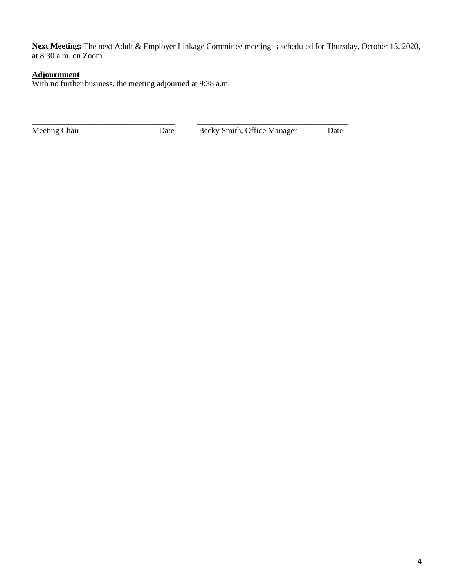**Next Meeting:** The next Adult & Employer Linkage Committee meeting is scheduled for Thursday, October 15, 2020, at 8:30 a.m. on Zoom.

## **Adjournment**

With no further business, the meeting adjourned at 9:38 a.m.

\_\_\_\_\_\_\_\_\_\_\_\_\_\_\_\_\_\_\_\_\_\_\_\_\_\_\_\_\_\_\_\_\_\_\_ \_\_\_\_\_\_\_\_\_\_\_\_\_\_\_\_\_\_\_\_\_\_\_\_\_\_\_\_\_\_\_\_\_\_\_\_\_

Meeting Chair **Date** Becky Smith, Office Manager Date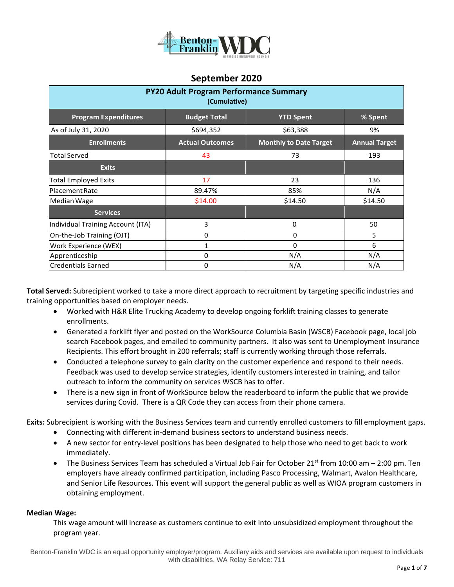

| <b>PY20 Adult Program Performance Summary</b><br>(Cumulative) |                        |                               |                      |  |  |
|---------------------------------------------------------------|------------------------|-------------------------------|----------------------|--|--|
| <b>Program Expenditures</b>                                   | <b>Budget Total</b>    | <b>YTD Spent</b>              | % Spent              |  |  |
| As of July 31, 2020                                           | \$694,352              | \$63,388                      | 9%                   |  |  |
| <b>Enrollments</b>                                            | <b>Actual Outcomes</b> | <b>Monthly to Date Target</b> | <b>Annual Target</b> |  |  |
| <b>Total Served</b>                                           | 43                     | 73                            | 193                  |  |  |
| <b>Exits</b>                                                  |                        |                               |                      |  |  |
| <b>Total Employed Exits</b>                                   | 17                     | 23                            | 136                  |  |  |
| <b>Placement Rate</b>                                         | 89.47%                 | 85%                           | N/A                  |  |  |
| Median Wage                                                   | \$14.00                | \$14.50                       | \$14.50              |  |  |
| <b>Services</b>                                               |                        |                               |                      |  |  |
| Individual Training Account (ITA)                             | 3                      | 0                             | 50                   |  |  |
| On-the-Job Training (OJT)                                     | 0                      | 0                             | 5                    |  |  |
| Work Experience (WEX)                                         | $\mathbf{1}$           | 0                             | 6                    |  |  |
| Apprenticeship                                                | $\Omega$               | N/A                           | N/A                  |  |  |
| Credentials Earned                                            | 0                      | N/A                           | N/A                  |  |  |

**Total Served:** Subrecipient worked to take a more direct approach to recruitment by targeting specific industries and training opportunities based on employer needs.

- Worked with H&R Elite Trucking Academy to develop ongoing forklift training classes to generate enrollments.
- Generated a forklift flyer and posted on the WorkSource Columbia Basin (WSCB) Facebook page, local job search Facebook pages, and emailed to community partners. It also was sent to Unemployment Insurance Recipients. This effort brought in 200 referrals; staff is currently working through those referrals.
- Conducted a telephone survey to gain clarity on the customer experience and respond to their needs. Feedback was used to develop service strategies, identify customers interested in training, and tailor outreach to inform the community on services WSCB has to offer.
- There is a new sign in front of WorkSource below the readerboard to inform the public that we provide services during Covid. There is a QR Code they can access from their phone camera.

**Exits:** Subrecipient is working with the Business Services team and currently enrolled customers to fill employment gaps.

- Connecting with different in-demand business sectors to understand business needs.
- A new sector for entry-level positions has been designated to help those who need to get back to work immediately.
- The Business Services Team has scheduled a Virtual Job Fair for October 21<sup>st</sup> from 10:00 am  $-$  2:00 pm. Ten employers have already confirmed participation, including Pasco Processing, Walmart, Avalon Healthcare, and Senior Life Resources. This event will support the general public as well as WIOA program customers in obtaining employment.

### **Median Wage:**

This wage amount will increase as customers continue to exit into unsubsidized employment throughout the program year.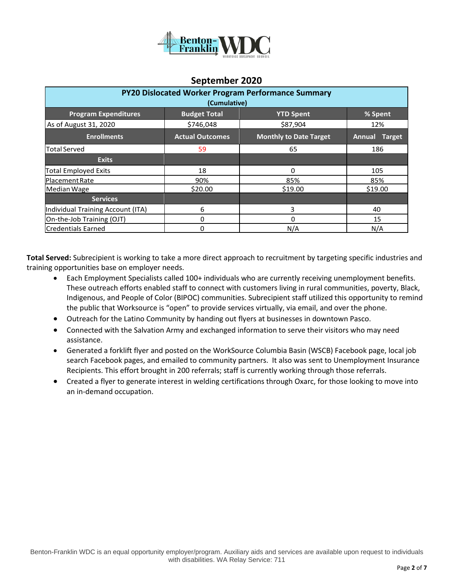

| PY20 Dislocated Worker Program Performance Summary<br>(Cumulative) |                        |                               |                                |  |  |
|--------------------------------------------------------------------|------------------------|-------------------------------|--------------------------------|--|--|
| <b>Program Expenditures</b>                                        | <b>Budget Total</b>    | <b>YTD Spent</b>              | % Spent                        |  |  |
| As of August 31, 2020                                              | \$746,048              | \$87,904                      | 12%                            |  |  |
| <b>Enrollments</b>                                                 | <b>Actual Outcomes</b> | <b>Monthly to Date Target</b> | <b>Annual</b><br><b>Target</b> |  |  |
| <b>Total Served</b>                                                | 59                     | 65                            | 186                            |  |  |
| <b>Exits</b>                                                       |                        |                               |                                |  |  |
| <b>Total Employed Exits</b>                                        | 18                     | 0                             | 105                            |  |  |
| <b>Placement Rate</b>                                              | 90%                    | 85%                           | 85%                            |  |  |
| Median Wage                                                        | \$20.00                | \$19.00                       | \$19.00                        |  |  |
| <b>Services</b>                                                    |                        |                               |                                |  |  |
| Individual Training Account (ITA)                                  | 6                      | 3                             | 40                             |  |  |
| On-the-Job Training (OJT)                                          | 0                      | 0                             | 15                             |  |  |
| <b>Credentials Earned</b>                                          | 0                      | N/A                           | N/A                            |  |  |

**Total Served:** Subrecipient is working to take a more direct approach to recruitment by targeting specific industries and training opportunities base on employer needs.

- Each Employment Specialists called 100+ individuals who are currently receiving unemployment benefits. These outreach efforts enabled staff to connect with customers living in rural communities, poverty, Black, Indigenous, and People of Color (BIPOC) communities. Subrecipient staff utilized this opportunity to remind the public that Worksource is "open" to provide services virtually, via email, and over the phone.
- Outreach for the Latino Community by handing out flyers at businesses in downtown Pasco.
- Connected with the Salvation Army and exchanged information to serve their visitors who may need assistance.
- Generated a forklift flyer and posted on the WorkSource Columbia Basin (WSCB) Facebook page, local job search Facebook pages, and emailed to community partners. It also was sent to Unemployment Insurance Recipients. This effort brought in 200 referrals; staff is currently working through those referrals.
- Created a flyer to generate interest in welding certifications through Oxarc, for those looking to move into an in-demand occupation.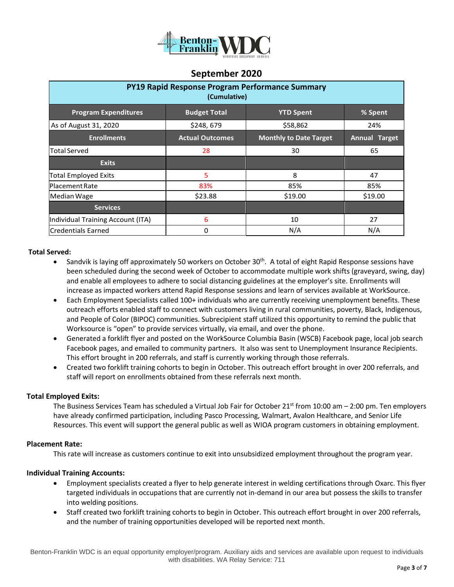

| <b>PY19 Rapid Response Program Performance Summary</b><br>(Cumulative) |                        |                               |                      |  |  |
|------------------------------------------------------------------------|------------------------|-------------------------------|----------------------|--|--|
| <b>Program Expenditures</b>                                            | <b>Budget Total</b>    | <b>YTD Spent</b>              | % Spent              |  |  |
| As of August 31, 2020                                                  | \$248,679              | \$58,862                      | 24%                  |  |  |
| <b>Enrollments</b>                                                     | <b>Actual Outcomes</b> | <b>Monthly to Date Target</b> | <b>Annual Target</b> |  |  |
| <b>Total Served</b>                                                    | 28                     | 30                            | 65                   |  |  |
| <b>Exits</b>                                                           |                        |                               |                      |  |  |
| <b>Total Employed Exits</b>                                            | 5                      | 8                             | 47                   |  |  |
| Placement Rate                                                         | 83%                    | 85%                           | 85%                  |  |  |
| Median Wage                                                            | \$23.88                | \$19.00                       | \$19.00              |  |  |
| <b>Services</b>                                                        |                        |                               |                      |  |  |
| Individual Training Account (ITA)                                      | 6                      | 10                            | 27                   |  |  |
| <b>Credentials Earned</b>                                              | 0                      | N/A                           | N/A                  |  |  |

#### **Total Served:**

- Sandvik is laying off approximately 50 workers on October 30<sup>th</sup>. A total of eight Rapid Response sessions have been scheduled during the second week of October to accommodate multiple work shifts (graveyard, swing, day) and enable all employees to adhere to social distancing guidelines at the employer's site. Enrollments will increase as impacted workers attend Rapid Response sessions and learn of services available at WorkSource.
- Each Employment Specialists called 100+ individuals who are currently receiving unemployment benefits. These outreach efforts enabled staff to connect with customers living in rural communities, poverty, Black, Indigenous, and People of Color (BIPOC) communities. Subrecipient staff utilized this opportunity to remind the public that Worksource is "open" to provide services virtually, via email, and over the phone.
- Generated a forklift flyer and posted on the WorkSource Columbia Basin (WSCB) Facebook page, local job search Facebook pages, and emailed to community partners. It also was sent to Unemployment Insurance Recipients. This effort brought in 200 referrals, and staff is currently working through those referrals.
- Created two forklift training cohorts to begin in October. This outreach effort brought in over 200 referrals, and staff will report on enrollments obtained from these referrals next month.

#### **Total Employed Exits:**

The Business Services Team has scheduled a Virtual Job Fair for October 21<sup>st</sup> from 10:00 am  $-$  2:00 pm. Ten employers have already confirmed participation, including Pasco Processing, Walmart, Avalon Healthcare, and Senior Life Resources. This event will support the general public as well as WIOA program customers in obtaining employment.

#### **Placement Rate:**

This rate will increase as customers continue to exit into unsubsidized employment throughout the program year.

### **Individual Training Accounts:**

- Employment specialists created a flyer to help generate interest in welding certifications through Oxarc. This flyer targeted individuals in occupations that are currently not in-demand in our area but possess the skills to transfer into welding positions.
- Staff created two forklift training cohorts to begin in October. This outreach effort brought in over 200 referrals, and the number of training opportunities developed will be reported next month.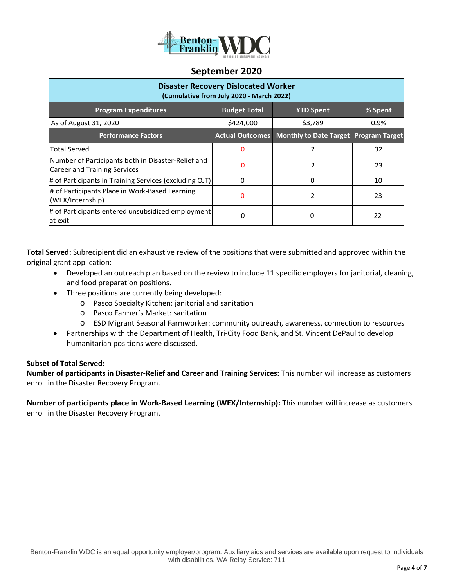

| <b>Disaster Recovery Dislocated Worker</b><br>(Cumulative from July 2020 - March 2022)    |                        |                                              |         |  |  |  |
|-------------------------------------------------------------------------------------------|------------------------|----------------------------------------------|---------|--|--|--|
| <b>Program Expenditures</b>                                                               | <b>Budget Total</b>    | <b>YTD Spent</b>                             | % Spent |  |  |  |
| As of August 31, 2020                                                                     | \$424,000              | \$3,789                                      | $0.9\%$ |  |  |  |
| <b>Performance Factors</b>                                                                | <b>Actual Outcomes</b> | <b>Monthly to Date Target Program Target</b> |         |  |  |  |
| <b>Total Served</b>                                                                       | 0                      | 2                                            | 32      |  |  |  |
| Number of Participants both in Disaster-Relief and<br><b>Career and Training Services</b> | $\Omega$               | 2                                            | 23      |  |  |  |
| # of Participants in Training Services (excluding OJT)                                    | $\Omega$               | O                                            | 10      |  |  |  |
| # of Participants Place in Work-Based Learning<br>(WEX/Internship)                        | 0                      | 2                                            | 23      |  |  |  |
| # of Participants entered unsubsidized employment<br>at exit                              |                        |                                              | 22      |  |  |  |

**Total Served:** Subrecipient did an exhaustive review of the positions that were submitted and approved within the original grant application:

- Developed an outreach plan based on the review to include 11 specific employers for janitorial, cleaning, and food preparation positions.
- Three positions are currently being developed:
	- o Pasco Specialty Kitchen: janitorial and sanitation
	- o Pasco Farmer's Market: sanitation
	- o ESD Migrant Seasonal Farmworker: community outreach, awareness, connection to resources
- Partnerships with the Department of Health, Tri-City Food Bank, and St. Vincent DePaul to develop humanitarian positions were discussed.

### **Subset of Total Served:**

**Number of participants in Disaster-Relief and Career and Training Services:** This number will increase as customers enroll in the Disaster Recovery Program.

**Number of participants place in Work-Based Learning (WEX/Internship):** This number will increase as customers enroll in the Disaster Recovery Program.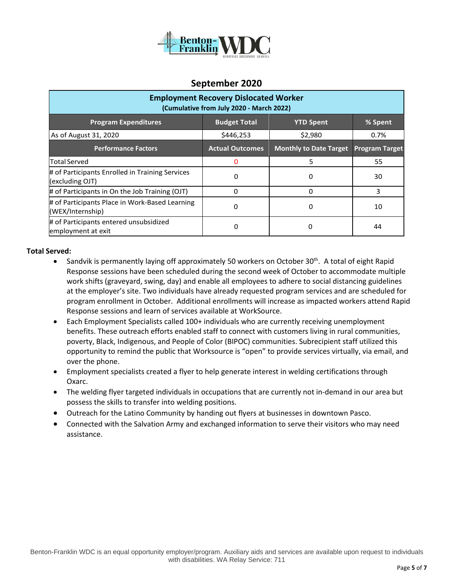

| <b>Employment Recovery Dislocated Worker</b><br>(Cumulative from July 2020 - March 2022) |                        |                               |                       |  |  |
|------------------------------------------------------------------------------------------|------------------------|-------------------------------|-----------------------|--|--|
| <b>Program Expenditures</b>                                                              | <b>Budget Total</b>    | <b>YTD Spent</b>              | % Spent               |  |  |
| As of August 31, 2020                                                                    | \$446,253              | \$2,980                       | 0.7%                  |  |  |
| <b>Performance Factors</b>                                                               | <b>Actual Outcomes</b> | <b>Monthly to Date Target</b> | <b>Program Target</b> |  |  |
| <b>Total Served</b>                                                                      |                        | 5                             | 55                    |  |  |
| # of Participants Enrolled in Training Services<br>(excluding OJT)                       | 0                      | 0                             | 30                    |  |  |
| # of Participants in On the Job Training (OJT)                                           | 0                      | 0                             | 3                     |  |  |
| # of Participants Place in Work-Based Learning<br>(WEX/Internship)                       | 0                      | 0                             | 10                    |  |  |
| # of Participants entered unsubsidized<br>employment at exit                             | 0                      |                               | 44                    |  |  |

### **Total Served:**

- Sandvik is permanently laying off approximately 50 workers on October 30<sup>th</sup>. A total of eight Rapid Response sessions have been scheduled during the second week of October to accommodate multiple work shifts (graveyard, swing, day) and enable all employees to adhere to social distancing guidelines at the employer's site. Two individuals have already requested program services and are scheduled for program enrollment in October. Additional enrollments will increase as impacted workers attend Rapid Response sessions and learn of services available at WorkSource.
- Each Employment Specialists called 100+ individuals who are currently receiving unemployment benefits. These outreach efforts enabled staff to connect with customers living in rural communities, poverty, Black, Indigenous, and People of Color (BIPOC) communities. Subrecipient staff utilized this opportunity to remind the public that Worksource is "open" to provide services virtually, via email, and over the phone.
- Employment specialists created a flyer to help generate interest in welding certifications through Oxarc.
- The welding flyer targeted individuals in occupations that are currently not in-demand in our area but possess the skills to transfer into welding positions.
- Outreach for the Latino Community by handing out flyers at businesses in downtown Pasco.
- Connected with the Salvation Army and exchanged information to serve their visitors who may need assistance.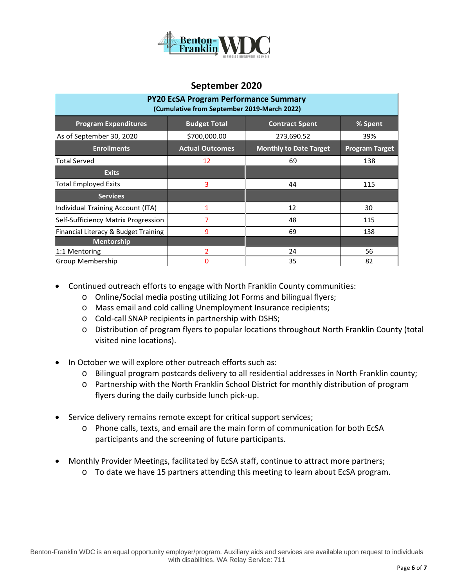

| <b>PY20 EcSA Program Performance Summary</b><br>(Cumulative from September 2019-March 2022) |                        |                               |                       |  |  |
|---------------------------------------------------------------------------------------------|------------------------|-------------------------------|-----------------------|--|--|
| <b>Program Expenditures</b>                                                                 | <b>Budget Total</b>    | <b>Contract Spent</b>         | % Spent               |  |  |
| As of September 30, 2020                                                                    | \$700,000.00           | 273,690.52                    | 39%                   |  |  |
| <b>Enrollments</b>                                                                          | <b>Actual Outcomes</b> | <b>Monthly to Date Target</b> | <b>Program Target</b> |  |  |
| Total Served                                                                                | 12                     | 69                            | 138                   |  |  |
| <b>Exits</b>                                                                                |                        |                               |                       |  |  |
| Total Employed Exits                                                                        | 3                      | 44                            | 115                   |  |  |
| <b>Services</b>                                                                             |                        |                               |                       |  |  |
| Individual Training Account (ITA)                                                           | 1                      | 12                            | 30                    |  |  |
| Self-Sufficiency Matrix Progression                                                         | 7                      | 48                            | 115                   |  |  |
| Financial Literacy & Budget Training                                                        | 9                      | 69                            | 138                   |  |  |
| <b>Mentorship</b>                                                                           |                        |                               |                       |  |  |
| 1:1 Mentoring                                                                               | 2                      | 24                            | 56                    |  |  |
| Group Membership                                                                            | 0                      | 35                            | 82                    |  |  |

- Continued outreach efforts to engage with North Franklin County communities:
	- o Online/Social media posting utilizing Jot Forms and bilingual flyers;
	- o Mass email and cold calling Unemployment Insurance recipients;
	- o Cold-call SNAP recipients in partnership with DSHS;
	- o Distribution of program flyers to popular locations throughout North Franklin County (total visited nine locations).
- In October we will explore other outreach efforts such as:
	- o Bilingual program postcards delivery to all residential addresses in North Franklin county;
	- o Partnership with the North Franklin School District for monthly distribution of program flyers during the daily curbside lunch pick-up.
- Service delivery remains remote except for critical support services;
	- o Phone calls, texts, and email are the main form of communication for both EcSA participants and the screening of future participants.
- Monthly Provider Meetings, facilitated by EcSA staff, continue to attract more partners;
	- o To date we have 15 partners attending this meeting to learn about EcSA program.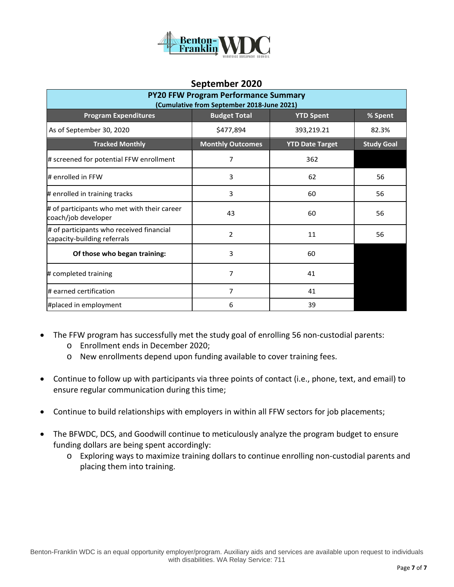

| <b>PY20 FFW Program Performance Summary</b><br>(Cumulative from September 2018-June 2021) |                         |                        |                   |  |  |
|-------------------------------------------------------------------------------------------|-------------------------|------------------------|-------------------|--|--|
| <b>Program Expenditures</b><br><b>Budget Total</b><br>% Spent<br><b>YTD Spent</b>         |                         |                        |                   |  |  |
| As of September 30, 2020                                                                  | \$477,894               | 393,219.21             | 82.3%             |  |  |
| <b>Tracked Monthly</b>                                                                    | <b>Monthly Outcomes</b> | <b>YTD Date Target</b> | <b>Study Goal</b> |  |  |
| # screened for potential FFW enrollment                                                   | 7                       | 362                    |                   |  |  |
| # enrolled in FFW                                                                         | 3                       | 62                     | 56                |  |  |
| # enrolled in training tracks                                                             | 3                       | 60                     | 56                |  |  |
| # of participants who met with their career<br>coach/job developer                        | 43                      | 60                     | 56                |  |  |
| # of participants who received financial<br>capacity-building referrals                   | $\overline{2}$          | 11                     | 56                |  |  |
| Of those who began training:                                                              | 3                       | 60                     |                   |  |  |
| # completed training                                                                      | 7                       | 41                     |                   |  |  |
| # earned certification                                                                    | 7                       | 41                     |                   |  |  |
| #placed in employment                                                                     | 6                       | 39                     |                   |  |  |

- The FFW program has successfully met the study goal of enrolling 56 non-custodial parents:
	- o Enrollment ends in December 2020;
	- o New enrollments depend upon funding available to cover training fees.
- Continue to follow up with participants via three points of contact (i.e., phone, text, and email) to ensure regular communication during this time;
- Continue to build relationships with employers in within all FFW sectors for job placements;
- The BFWDC, DCS, and Goodwill continue to meticulously analyze the program budget to ensure funding dollars are being spent accordingly:
	- o Exploring ways to maximize training dollars to continue enrolling non-custodial parents and placing them into training.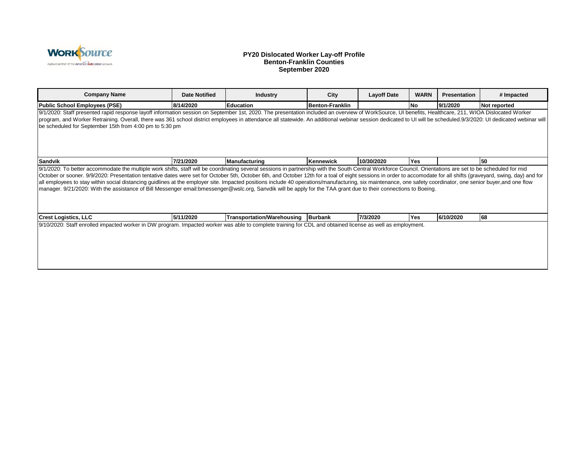

#### **PY20 Dislocated Worker Lay-off Profile Benton-Franklin Counties September 2020**

| <b>Company Name</b>                                                                                                                                                                                                                                                                                                                                                                                                                                                                                                                                                                                                                                                                                                                                                                                                       | <b>Date Notified</b> | <b>Industry</b>                    | City                   | <b>Layoff Date</b> | <b>WARN</b> | <b>Presentation</b> | # Impacted   |
|---------------------------------------------------------------------------------------------------------------------------------------------------------------------------------------------------------------------------------------------------------------------------------------------------------------------------------------------------------------------------------------------------------------------------------------------------------------------------------------------------------------------------------------------------------------------------------------------------------------------------------------------------------------------------------------------------------------------------------------------------------------------------------------------------------------------------|----------------------|------------------------------------|------------------------|--------------------|-------------|---------------------|--------------|
| Public School Employees (PSE)                                                                                                                                                                                                                                                                                                                                                                                                                                                                                                                                                                                                                                                                                                                                                                                             | 8/14/2020            | Education                          | <b>Benton-Franklin</b> |                    | <b>No</b>   | 9/1/2020            | Not reported |
| 9/1/2020: Staff presented rapid response layoff information session on September 1st, 2020. The presentation included an overview of WorkSource, UI benefits, Healthcare, 211, WIOA Dislocated Worker<br>program, and Worker Retraining. Overall, there was 361 school district employees in attendance all statewide. An additional webinar session dedicated to UI will be scheduled.9/3/2020: UI dedicated webinar will<br>be scheduled for September 15th from 4:00 pm to 5:30 pm                                                                                                                                                                                                                                                                                                                                     |                      |                                    |                        |                    |             |                     |              |
| <b>Sandvik</b>                                                                                                                                                                                                                                                                                                                                                                                                                                                                                                                                                                                                                                                                                                                                                                                                            | 7/21/2020            | <b>Manufacturing</b>               | Kennewick              | 10/30/2020         | <b>Yes</b>  |                     | 50           |
| 9/1/2020: To better accommodate the multiple work shifts, staff will be coordinating several sessions in partnership with the South Central Workforce Council. Orientations are set to be scheduled for mid<br>October or sooner. 9/9/2020: Presentation tentative dates were set for October 5th, October 6th, and October 12th for a toal of eight sessions in order to accomodate for all shifts (graveyard, swing, day) and for<br>all employees to stay within social distancing guidlines at the employer site. Impacted positions include 40 operations/manufacturing, six maintenance, one safety coordinator, one senior buyer, and one flow<br>manager. 9/21/2020: With the assistance of Bill Messenger email:bmessenger@wslc.org, Sanvdik will be apply for the TAA grant due to their connections to Boeing. |                      |                                    |                        |                    |             |                     |              |
| <b>Crest Logistics, LLC</b>                                                                                                                                                                                                                                                                                                                                                                                                                                                                                                                                                                                                                                                                                                                                                                                               | 5/11/2020            | Transportation/Warehousing Burbank |                        | 7/3/2020           | Yes         | 6/10/2020           | 68           |
| 9/10/2020: Staff enrolled impacted worker in DW program. Impacted worker was able to complete training for CDL and obtained license as well as employment.                                                                                                                                                                                                                                                                                                                                                                                                                                                                                                                                                                                                                                                                |                      |                                    |                        |                    |             |                     |              |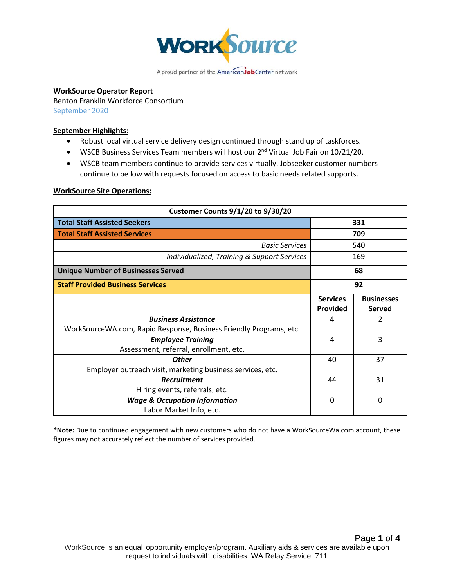

### **WorkSource Operator Report**

Benton Franklin Workforce Consortium September 2020

### **September Highlights:**

- Robust local virtual service delivery design continued through stand up of taskforces.
- WSCB Business Services Team members will host our 2<sup>nd</sup> Virtual Job Fair on 10/21/20.
- WSCB team members continue to provide services virtually. Jobseeker customer numbers continue to be low with requests focused on access to basic needs related supports.

#### **WorkSource Site Operations:**

| <b>Customer Counts 9/1/20 to 9/30/20</b>                           |                                    |                                    |
|--------------------------------------------------------------------|------------------------------------|------------------------------------|
| <b>Total Staff Assisted Seekers</b>                                |                                    | 331                                |
| <b>Total Staff Assisted Services</b>                               |                                    | 709                                |
| <b>Basic Services</b>                                              |                                    | 540                                |
| Individualized, Training & Support Services                        |                                    | 169                                |
| <b>Unique Number of Businesses Served</b>                          |                                    | 68                                 |
| <b>Staff Provided Business Services</b>                            |                                    | 92                                 |
|                                                                    | <b>Services</b><br><b>Provided</b> | <b>Businesses</b><br><b>Served</b> |
| <b>Business Assistance</b>                                         | 4                                  | 2                                  |
| WorkSourceWA.com, Rapid Response, Business Friendly Programs, etc. |                                    |                                    |
| <b>Employee Training</b>                                           | 4                                  | 3                                  |
| Assessment, referral, enrollment, etc.                             |                                    |                                    |
| <b>Other</b>                                                       | 40                                 | 37                                 |
| Employer outreach visit, marketing business services, etc.         |                                    |                                    |
| Recruitment                                                        | 44                                 | 31                                 |
| Hiring events, referrals, etc.                                     |                                    |                                    |
| <b>Wage &amp; Occupation Information</b>                           | 0                                  | $\Omega$                           |
| Labor Market Info, etc.                                            |                                    |                                    |

**\*Note:** Due to continued engagement with new customers who do not have a WorkSourceWa.com account, these figures may not accurately reflect the number of services provided.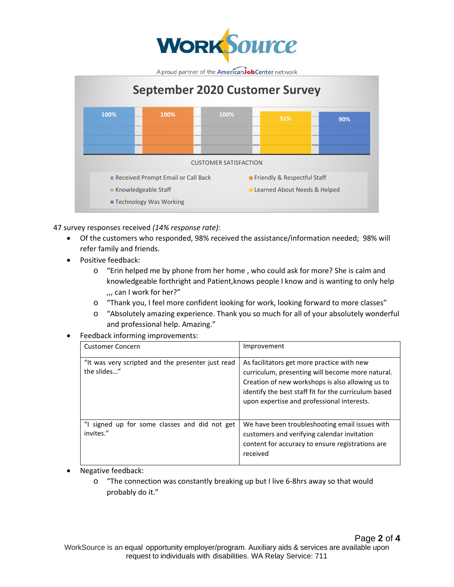



47 survey responses received *(14% response rate):* 

- Of the customers who responded, 98% received the assistance/information needed; 98% will refer family and friends.
- Positive feedback:
	- o "Erin helped me by phone from her home , who could ask for more? She is calm and knowledgeable forthright and Patient,knows people I know and is wanting to only help ,,, can I work for her?"
	- o "Thank you, I feel more confident looking for work, looking forward to more classes"
	- o "Absolutely amazing experience. Thank you so much for all of your absolutely wonderful and professional help. Amazing."
- Feedback informing improvements:

| <b>Customer Concern</b>                                          | Improvement                                                                                                                                                                                                                                              |
|------------------------------------------------------------------|----------------------------------------------------------------------------------------------------------------------------------------------------------------------------------------------------------------------------------------------------------|
| "It was very scripted and the presenter just read<br>the slides" | As facilitators get more practice with new<br>curriculum, presenting will become more natural.<br>Creation of new workshops is also allowing us to<br>identify the best staff fit for the curriculum based<br>upon expertise and professional interests. |
| "I signed up for some classes and did not get<br>invites."       | We have been troubleshooting email issues with<br>customers and verifying calendar invitation<br>content for accuracy to ensure registrations are<br>received                                                                                            |

- Negative feedback:
	- $\circ$  "The connection was constantly breaking up but I live 6-8hrs away so that would probably do it."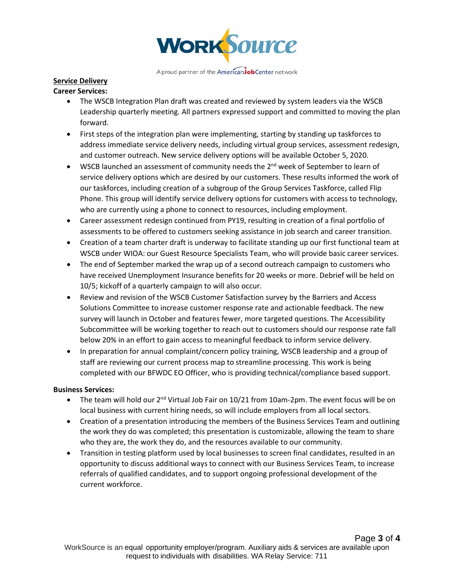

# **Service Delivery**

# **Career Services:**

- The WSCB Integration Plan draft was created and reviewed by system leaders via the WSCB Leadership quarterly meeting. All partners expressed support and committed to moving the plan forward.
- First steps of the integration plan were implementing, starting by standing up taskforces to address immediate service delivery needs, including virtual group services, assessment redesign, and customer outreach. New service delivery options will be available October 5, 2020.
- WSCB launched an assessment of community needs the  $2^{nd}$  week of September to learn of service delivery options which are desired by our customers. These results informed the work of our taskforces, including creation of a subgroup of the Group Services Taskforce, called Flip Phone. This group will identify service delivery options for customers with access to technology, who are currently using a phone to connect to resources, including employment.
- Career assessment redesign continued from PY19, resulting in creation of a final portfolio of assessments to be offered to customers seeking assistance in job search and career transition.
- Creation of a team charter draft is underway to facilitate standing up our first functional team at WSCB under WIOA: our Guest Resource Specialists Team, who will provide basic career services.
- The end of September marked the wrap up of a second outreach campaign to customers who have received Unemployment Insurance benefits for 20 weeks or more. Debrief will be held on 10/5; kickoff of a quarterly campaign to will also occur.
- Review and revision of the WSCB Customer Satisfaction survey by the Barriers and Access Solutions Committee to increase customer response rate and actionable feedback. The new survey will launch in October and features fewer, more targeted questions. The Accessibility Subcommittee will be working together to reach out to customers should our response rate fall below 20% in an effort to gain access to meaningful feedback to inform service delivery.
- In preparation for annual complaint/concern policy training, WSCB leadership and a group of staff are reviewing our current process map to streamline processing. This work is being completed with our BFWDC EO Officer, who is providing technical/compliance based support.

### **Business Services:**

- The team will hold our 2<sup>nd</sup> Virtual Job Fair on 10/21 from 10am-2pm. The event focus will be on local business with current hiring needs, so will include employers from all local sectors.
- Creation of a presentation introducing the members of the Business Services Team and outlining the work they do was completed; this presentation is customizable, allowing the team to share who they are, the work they do, and the resources available to our community.
- Transition in testing platform used by local businesses to screen final candidates, resulted in an opportunity to discuss additional ways to connect with our Business Services Team, to increase referrals of qualified candidates, and to support ongoing professional development of the current workforce.